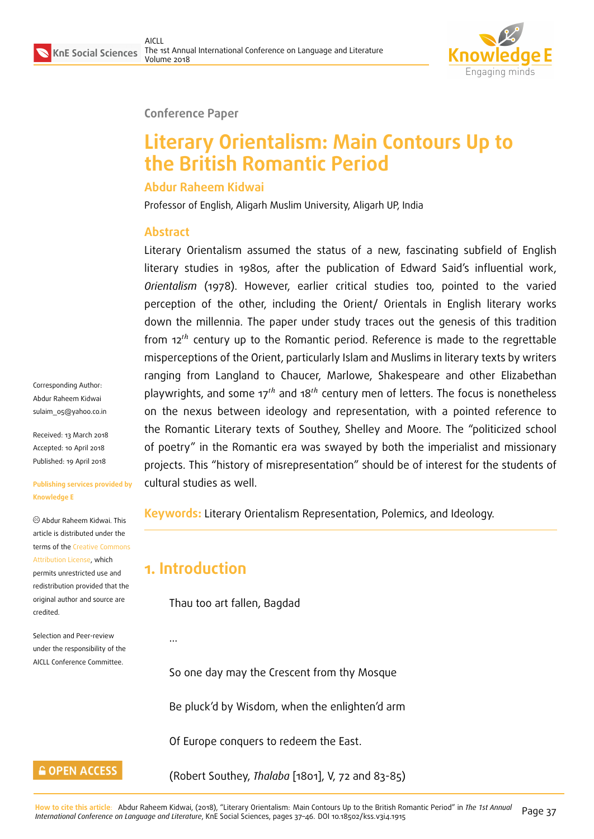

#### **Conference Paper**

# **Literary Orientalism: Main Contours Up to the British Romantic Period**

#### **Abdur Raheem Kidwai**

Professor of English, Aligarh Muslim University, Aligarh UP, India

#### **Abstract**

Literary Orientalism assumed the status of a new, fascinating subfield of English literary studies in 1980s, after the publication of Edward Said's influential work, *Orientalism* (1978). However, earlier critical studies too, pointed to the varied perception of the other, including the Orient/ Orientals in English literary works down the millennia. The paper under study traces out the genesis of this tradition from  $12<sup>th</sup>$  century up to the Romantic period. Reference is made to the regrettable misperceptions of the Orient, particularly Islam and Muslims in literary texts by writers ranging from Langland to Chaucer, Marlowe, Shakespeare and other Elizabethan playwrights, and some  $17<sup>th</sup>$  and  $18<sup>th</sup>$  century men of letters. The focus is nonetheless on the nexus between ideology and representation, with a pointed reference to the Romantic Literary texts of Southey, Shelley and Moore. The "politicized school of poetry" in the Romantic era was swayed by both the imperialist and missionary projects. This "history of misrepresentation" should be of interest for the students of cultural studies as well.

**Keywords:** Literary Orientalism Representation, Polemics, and Ideology.

## **1. Introduction**

…

Thau too art fallen, Bagdad

So one day may the Crescent from thy Mosque

Be pluck'd by Wisdom, when the enlighten'd arm

Of Europe conquers to redeem the East.

(Robert Southey, *Thalaba* [1801], V, 72 and 83-85)

Corresponding Author: Abdur Raheem Kidwai sulaim\_05@yahoo.co.in

Received: 13 March 2018 Accepted: 10 April 2018 [Published: 19 April 2018](mailto:sulaim_05@yahoo.co.in)

#### **Publishing services provided by Knowledge E**

Abdur Raheem Kidwai. This article is distributed under the terms of the Creative Commons Attribution License, which permits unrestricted use and redistribution provided that the original auth[or and source are](https://creativecommons.org/licenses/by/4.0/) [credited.](https://creativecommons.org/licenses/by/4.0/)

Selection and Peer-review under the responsibility of the AICLL Conference Committee.

**GOPEN ACCESS**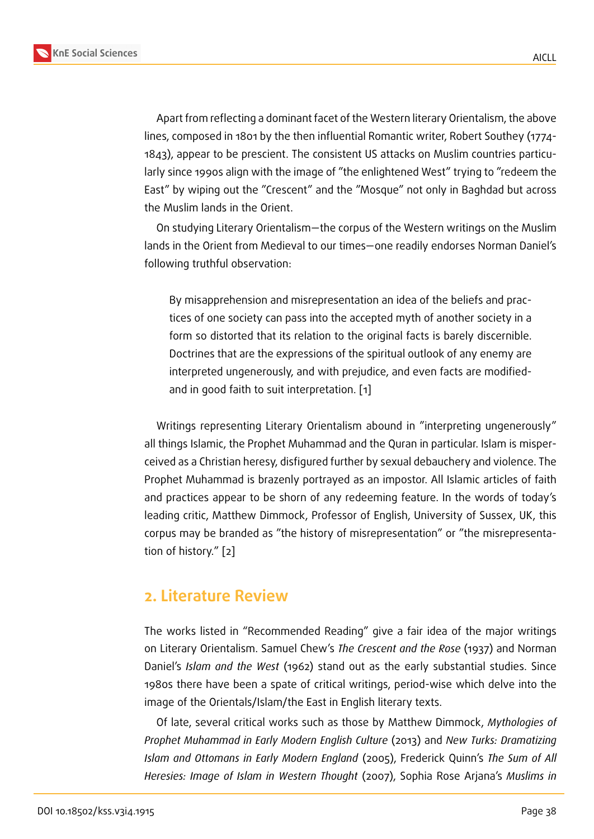Apart from reflecting a dominant facet of the Western literary Orientalism, the above lines, composed in 1801 by the then influential Romantic writer, Robert Southey (1774- 1843), appear to be prescient. The consistent US attacks on Muslim countries particularly since 1990s align with the image of "the enlightened West" trying to "redeem the East" by wiping out the "Crescent" and the "Mosque" not only in Baghdad but across the Muslim lands in the Orient.

On studying Literary Orientalism—the corpus of the Western writings on the Muslim lands in the Orient from Medieval to our times—one readily endorses Norman Daniel's following truthful observation:

By misapprehension and misrepresentation an idea of the beliefs and practices of one society can pass into the accepted myth of another society in a form so distorted that its relation to the original facts is barely discernible. Doctrines that are the expressions of the spiritual outlook of any enemy are interpreted ungenerously, and with prejudice, and even facts are modifiedand in good faith to suit interpretation. [1]

Writings representing Literary Orientalism abound in "interpreting ungenerously" all things Islamic, the Prophet Muhammad an[d](#page-7-0) the Quran in particular. Islam is misperceived as a Christian heresy, disfigured further by sexual debauchery and violence. The Prophet Muhammad is brazenly portrayed as an impostor. All Islamic articles of faith and practices appear to be shorn of any redeeming feature. In the words of today's leading critic, Matthew Dimmock, Professor of English, University of Sussex, UK, this corpus may be branded as "the history of misrepresentation" or "the misrepresentation of history." [2]

### **2. Literatur[e](#page-7-1) Review**

The works listed in "Recommended Reading" give a fair idea of the major writings on Literary Orientalism. Samuel Chew's *The Crescent and the Rose* (1937) and Norman Daniel's *Islam and the West* (1962) stand out as the early substantial studies. Since 1980s there have been a spate of critical writings, period-wise which delve into the image of the Orientals/Islam/the East in English literary texts.

Of late, several critical works such as those by Matthew Dimmock, *Mythologies of Prophet Muhammad in Early Modern English Culture* (2013) and *New Turks: Dramatizing Islam and Ottomans in Early Modern England* (2005), Frederick Quinn's *The Sum of All Heresies: Image of Islam in Western Thought* (2007), Sophia Rose Arjana's *Muslims in*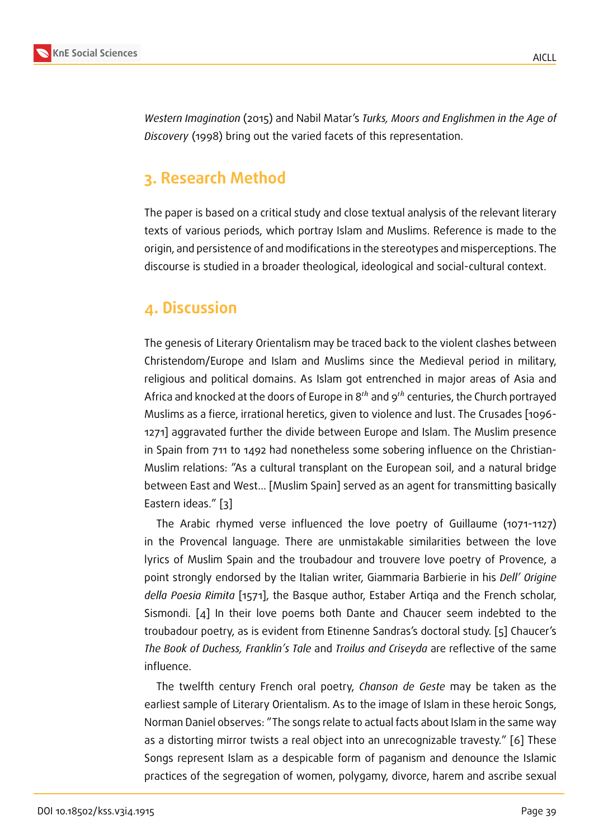*Western Imagination* (2015) and Nabil Matar's *Turks, Moors and Englishmen in the Age of Discovery* (1998) bring out the varied facets of this representation.

### **3. Research Method**

The paper is based on a critical study and close textual analysis of the relevant literary texts of various periods, which portray Islam and Muslims. Reference is made to the origin, and persistence of and modifications in the stereotypes and misperceptions. The discourse is studied in a broader theological, ideological and social-cultural context.

### **4. Discussion**

The genesis of Literary Orientalism may be traced back to the violent clashes between Christendom/Europe and Islam and Muslims since the Medieval period in military, religious and political domains. As Islam got entrenched in major areas of Asia and Africa and knocked at the doors of Europe in  $8<sup>th</sup>$  and  $9<sup>th</sup>$  centuries, the Church portrayed Muslims as a fierce, irrational heretics, given to violence and lust. The Crusades [1096- 1271] aggravated further the divide between Europe and Islam. The Muslim presence in Spain from 711 to 1492 had nonetheless some sobering influence on the Christian-Muslim relations: "As a cultural transplant on the European soil, and a natural bridge between East and West… [Muslim Spain] served as an agent for transmitting basically Eastern ideas." [3]

The Arabic rhymed verse influenced the love poetry of Guillaume (1071-1127) in the Provencal language. There are unmistakable similarities between the love lyrics of Muslim [S](#page-7-2)pain and the troubadour and trouvere love poetry of Provence, a point strongly endorsed by the Italian writer, Giammaria Barbierie in his *Dell' Origine della Poesia Rimita* [1571], the Basque author, Estaber Artiqa and the French scholar, Sismondi. [4] In their love poems both Dante and Chaucer seem indebted to the troubadour poetry, as is evident from Etinenne Sandras's doctoral study. [5] Chaucer's *The Book of Duchess, Franklin's Tale* and *Troilus and Criseyda* are reflective of the same influence.

The twelfth century French oral poetry, *Chanson de Geste* may be t[ak](#page-7-3)en as the earliest sample of Literary Orientalism. As to the image of Islam in these heroic Songs, Norman Daniel observes: "The songs relate to actual facts about Islam in the same way as a distorting mirror twists a real object into an unrecognizable travesty." [6] These Songs represent Islam as a despicable form of paganism and denounce the Islamic practices of the segregation of women, polygamy, divorce, harem and ascribe sexual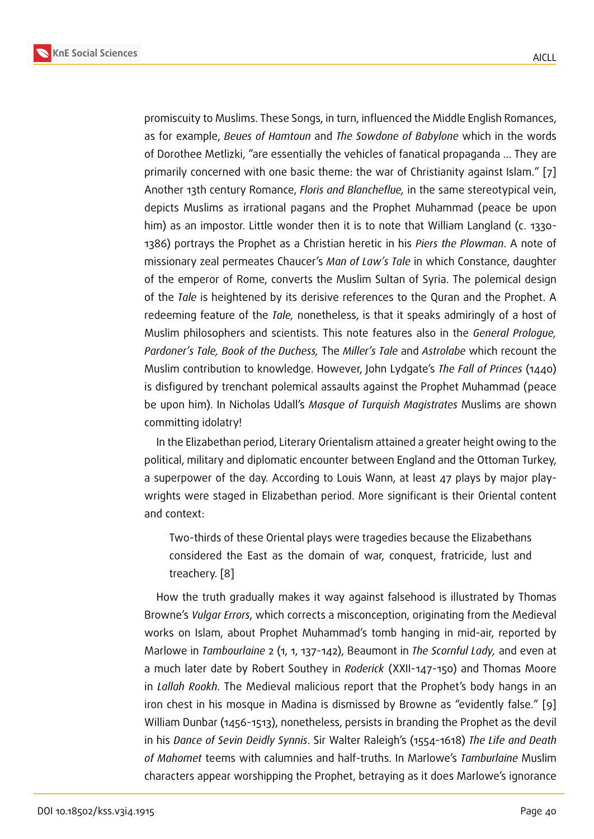promiscuity to Muslims. These Songs, in turn, influenced the Middle English Romances, as for example, *Beues of Hamtoun* and *The Sowdone of Babylone* which in the words of Dorothee Metlizki, "are essentially the vehicles of fanatical propaganda … They are primarily concerned with one basic theme: the war of Christianity against Islam." [7] Another 13th century Romance, *Floris and Blancheflue,* in the same stereotypical vein, depicts Muslims as irrational pagans and the Prophet Muhammad (peace be upon him) as an impostor. Little wonder then it is to note that William Langland (c. 133[0-](#page-7-4) 1386) portrays the Prophet as a Christian heretic in his *Piers the Plowman*. A note of missionary zeal permeates Chaucer's *Man of Law's Tale* in which Constance, daughter of the emperor of Rome, converts the Muslim Sultan of Syria. The polemical design of the *Tale* is heightened by its derisive references to the Quran and the Prophet. A redeeming feature of the *Tale,* nonetheless, is that it speaks admiringly of a host of Muslim philosophers and scientists. This note features also in the *General Prologue, Pardoner's Tale, Book of the Duchess,* The *Miller's Tale* and *Astrolabe* which recount the Muslim contribution to knowledge. However, John Lydgate's *The Fall of Princes* (1440) is disfigured by trenchant polemical assaults against the Prophet Muhammad (peace be upon him). In Nicholas Udall's *Masque of Turquish Magistrates* Muslims are shown committing idolatry!

In the Elizabethan period, Literary Orientalism attained a greater height owing to the political, military and diplomatic encounter between England and the Ottoman Turkey, a superpower of the day. According to Louis Wann, at least 47 plays by major playwrights were staged in Elizabethan period. More significant is their Oriental content and context:

Two-thirds of these Oriental plays were tragedies because the Elizabethans considered the East as the domain of war, conquest, fratricide, lust and treachery. [8]

How the truth gradually makes it way against falsehood is illustrated by Thomas Browne's *Vulgar [Er](#page-7-5)rors*, which corrects a misconception, originating from the Medieval works on Islam, about Prophet Muhammad's tomb hanging in mid-air, reported by Marlowe in *Tambourlaine* 2 (1, 1, 137-142), Beaumont in *The Scornful Lady,* and even at a much later date by Robert Southey in *Roderick* (XXII-147-150) and Thomas Moore in *Lallah Rookh*. The Medieval malicious report that the Prophet's body hangs in an iron chest in his mosque in Madina is dismissed by Browne as "evidently false." [9] William Dunbar (1456-1513), nonetheless, persists in branding the Prophet as the devil in his *Dance of Sevin Deidly Synnis*. Sir Walter Raleigh's (1554-1618) *The Life and Death of Mahomet* teems with calumnies and half-truths. In Marlowe's *Tamburlaine* Musl[im](#page-7-6) characters appear worshipping the Prophet, betraying as it does Marlowe's ignorance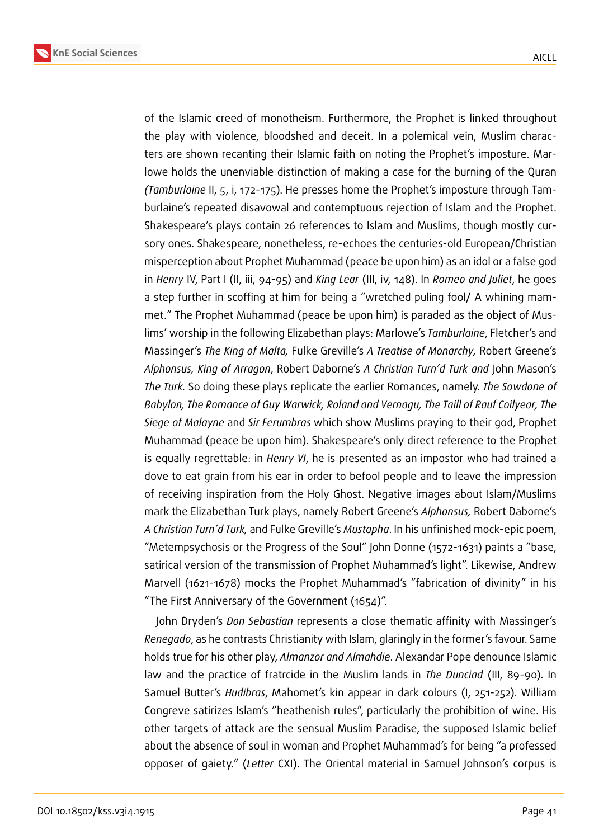**KnE Social Sciences**



of the Islamic creed of monotheism. Furthermore, the Prophet is linked throughout the play with violence, bloodshed and deceit. In a polemical vein, Muslim characters are shown recanting their Islamic faith on noting the Prophet's imposture. Marlowe holds the unenviable distinction of making a case for the burning of the Quran *(Tamburlaine* II, 5, i, 172-175). He presses home the Prophet's imposture through Tamburlaine's repeated disavowal and contemptuous rejection of Islam and the Prophet. Shakespeare's plays contain 26 references to Islam and Muslims, though mostly cursory ones. Shakespeare, nonetheless, re-echoes the centuries-old European/Christian misperception about Prophet Muhammad (peace be upon him) as an idol or a false god in *Henry* IV, Part I (II, iii, 94-95) and *King Lear* (III, iv, 148). In *Romeo and Juliet*, he goes a step further in scoffing at him for being a "wretched puling fool/ A whining mammet." The Prophet Muhammad (peace be upon him) is paraded as the object of Muslims' worship in the following Elizabethan plays: Marlowe's *Tamburlaine*, Fletcher's and Massinger's *The King of Malta,* Fulke Greville's *A Treatise of Monarchy,* Robert Greene's *Alphonsus, King of Arragon*, Robert Daborne's *A Christian Turn'd Turk and* John Mason's *The Turk.* So doing these plays replicate the earlier Romances, namely. *The Sowdone of Babylon, The Romance of Guy Warwick, Roland and Vernagu, The Taill of Rauf Coilyear, The Siege of Malayne* and *Sir Ferumbras* which show Muslims praying to their god, Prophet Muhammad (peace be upon him). Shakespeare's only direct reference to the Prophet is equally regrettable: in *Henry VI*, he is presented as an impostor who had trained a dove to eat grain from his ear in order to befool people and to leave the impression of receiving inspiration from the Holy Ghost. Negative images about Islam/Muslims mark the Elizabethan Turk plays, namely Robert Greene's *Alphonsus,* Robert Daborne's *A Christian Turn'd Turk,* and Fulke Greville's *Mustapha*. In his unfinished mock-epic poem, "Metempsychosis or the Progress of the Soul" John Donne (1572-1631) paints a "base, satirical version of the transmission of Prophet Muhammad's light". Likewise, Andrew Marvell (1621-1678) mocks the Prophet Muhammad's "fabrication of divinity" in his "The First Anniversary of the Government (1654)".

John Dryden's *Don Sebastian* represents a close thematic affinity with Massinger's *Renegado*, as he contrasts Christianity with Islam, glaringly in the former's favour. Same holds true for his other play, *Almanzor and Almahdie*. Alexandar Pope denounce Islamic law and the practice of fratrcide in the Muslim lands in *The Dunciad* (III, 89-90). In Samuel Butter's *Hudibras*, Mahomet's kin appear in dark colours (I, 251-252). William Congreve satirizes Islam's "heathenish rules", particularly the prohibition of wine. His other targets of attack are the sensual Muslim Paradise, the supposed Islamic belief about the absence of soul in woman and Prophet Muhammad's for being "a professed opposer of gaiety." (*Letter* CXI). The Oriental material in Samuel Johnson's corpus is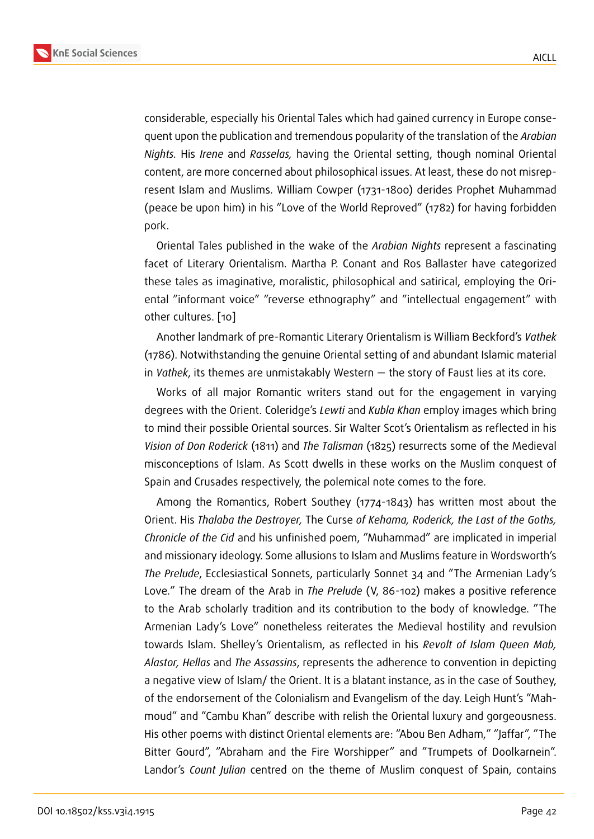considerable, especially his Oriental Tales which had gained currency in Europe consequent upon the publication and tremendous popularity of the translation of the *Arabian Nights.* His *Irene* and *Rasselas,* having the Oriental setting, though nominal Oriental content, are more concerned about philosophical issues. At least, these do not misrepresent Islam and Muslims. William Cowper (1731-1800) derides Prophet Muhammad (peace be upon him) in his "Love of the World Reproved" (1782) for having forbidden pork.

Oriental Tales published in the wake of the *Arabian Nights* represent a fascinating facet of Literary Orientalism. Martha P. Conant and Ros Ballaster have categorized these tales as imaginative, moralistic, philosophical and satirical, employing the Oriental "informant voice" "reverse ethnography" and "intellectual engagement" with other cultures. [10]

Another landmark of pre-Romantic Literary Orientalism is William Beckford's *Vathek* (1786). Notwithstanding the genuine Oriental setting of and abundant Islamic material in *Vathek*, its th[em](#page-7-7)es are unmistakably Western — the story of Faust lies at its core.

Works of all major Romantic writers stand out for the engagement in varying degrees with the Orient. Coleridge's *Lewti* and *Kubla Khan* employ images which bring to mind their possible Oriental sources. Sir Walter Scot's Orientalism as reflected in his *Vision of Don Roderick* (1811) and *The Talisman* (1825) resurrects some of the Medieval misconceptions of Islam. As Scott dwells in these works on the Muslim conquest of Spain and Crusades respectively, the polemical note comes to the fore.

Among the Romantics, Robert Southey (1774-1843) has written most about the Orient. His *Thalaba the Destroyer,* The Curse *of Kehama, Roderick, the Last of the Goths, Chronicle of the Cid* and his unfinished poem, "Muhammad" are implicated in imperial and missionary ideology. Some allusions to Islam and Muslims feature in Wordsworth's *The Prelude*, Ecclesiastical Sonnets, particularly Sonnet 34 and "The Armenian Lady's Love." The dream of the Arab in *The Prelude* (V, 86-102) makes a positive reference to the Arab scholarly tradition and its contribution to the body of knowledge. "The Armenian Lady's Love" nonetheless reiterates the Medieval hostility and revulsion towards Islam. Shelley's Orientalism, as reflected in his *Revolt of Islam Queen Mab, Alastor, Hellas* and *The Assassins*, represents the adherence to convention in depicting a negative view of Islam/ the Orient. It is a blatant instance, as in the case of Southey, of the endorsement of the Colonialism and Evangelism of the day. Leigh Hunt's "Mahmoud" and "Cambu Khan" describe with relish the Oriental luxury and gorgeousness. His other poems with distinct Oriental elements are: "Abou Ben Adham," "Jaffar", "The Bitter Gourd", "Abraham and the Fire Worshipper" and "Trumpets of Doolkarnein". Landor's *Count Julian* centred on the theme of Muslim conquest of Spain, contains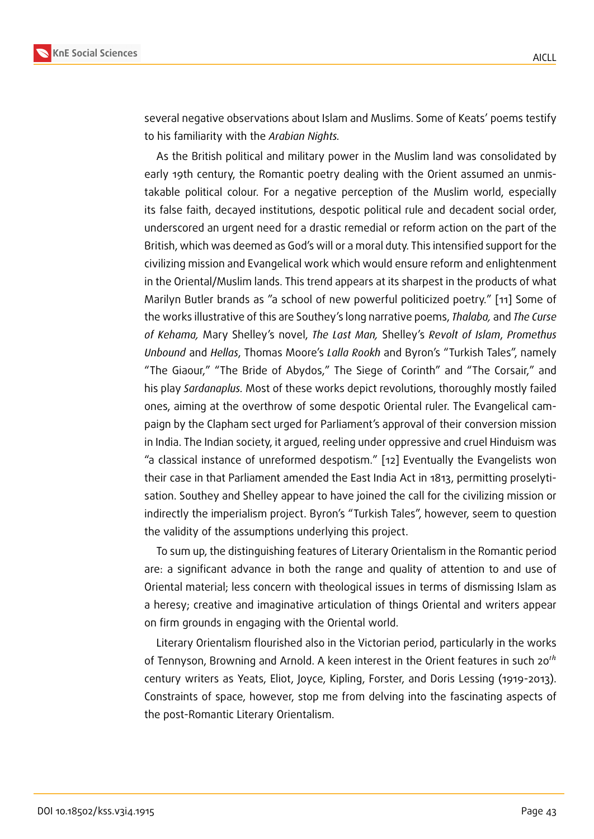several negative observations about Islam and Muslims. Some of Keats' poems testify to his familiarity with the *Arabian Nights.*

As the British political and military power in the Muslim land was consolidated by early 19th century, the Romantic poetry dealing with the Orient assumed an unmistakable political colour. For a negative perception of the Muslim world, especially its false faith, decayed institutions, despotic political rule and decadent social order, underscored an urgent need for a drastic remedial or reform action on the part of the British, which was deemed as God's will or a moral duty. This intensified support for the civilizing mission and Evangelical work which would ensure reform and enlightenment in the Oriental/Muslim lands. This trend appears at its sharpest in the products of what Marilyn Butler brands as "a school of new powerful politicized poetry." [11] Some of the works illustrative of this are Southey's long narrative poems, *Thalaba,* and *The Curse of Kehama,* Mary Shelley's novel, *The Last Man,* Shelley's *Revolt of Islam*, *Promethus Unbound* and *Hellas*, Thomas Moore's *Lalla Rookh* and Byron's "Turkish Ta[les](#page-7-8)", namely "The Giaour," "The Bride of Abydos," The Siege of Corinth" and "The Corsair," and his play *Sardanaplus.* Most of these works depict revolutions, thoroughly mostly failed ones, aiming at the overthrow of some despotic Oriental ruler. The Evangelical campaign by the Clapham sect urged for Parliament's approval of their conversion mission in India. The Indian society, it argued, reeling under oppressive and cruel Hinduism was "a classical instance of unreformed despotism." [12] Eventually the Evangelists won their case in that Parliament amended the East India Act in 1813, permitting proselytisation. Southey and Shelley appear to have joined the call for the civilizing mission or indirectly the imperialism project. Byron's "Turkis[h T](#page-7-9)ales", however, seem to question the validity of the assumptions underlying this project.

To sum up, the distinguishing features of Literary Orientalism in the Romantic period are: a significant advance in both the range and quality of attention to and use of Oriental material; less concern with theological issues in terms of dismissing Islam as a heresy; creative and imaginative articulation of things Oriental and writers appear on firm grounds in engaging with the Oriental world.

Literary Orientalism flourished also in the Victorian period, particularly in the works of Tennyson, Browning and Arnold. A keen interest in the Orient features in such  $20^{th}$ century writers as Yeats, Eliot, Joyce, Kipling, Forster, and Doris Lessing (1919-2013). Constraints of space, however, stop me from delving into the fascinating aspects of the post-Romantic Literary Orientalism.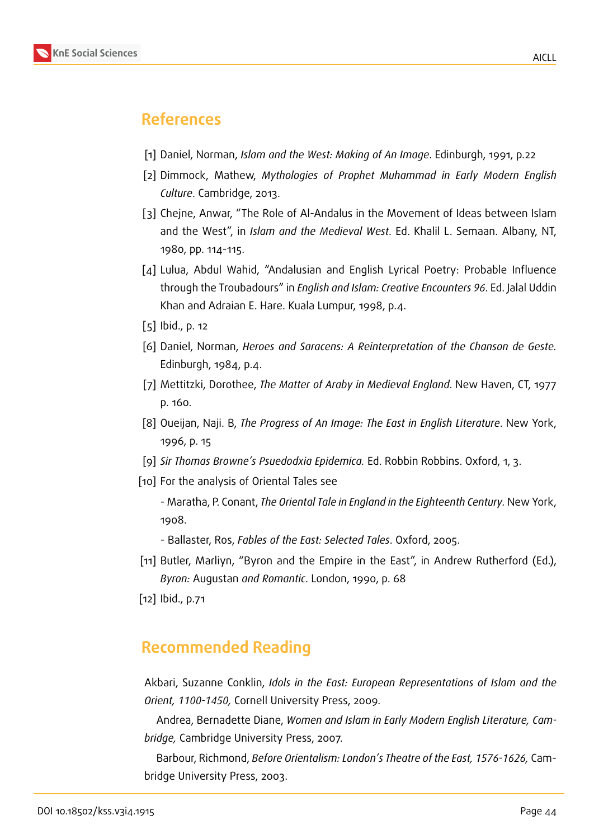

### **References**

- <span id="page-7-0"></span>[1] Daniel, Norman, *Islam and the West: Making of An Image*. Edinburgh, 1991, p.22
- <span id="page-7-1"></span>[2] Dimmock, Mathew, *Mythologies of Prophet Muhammad in Early Modern English Culture*. Cambridge, 2013.
- <span id="page-7-2"></span>[3] Chejne, Anwar, "The Role of Al-Andalus in the Movement of Ideas between Islam and the West", in *Islam and the Medieval West*. Ed. Khalil L. Semaan. Albany, NT, 1980, pp. 114-115.
- [4] Lulua, Abdul Wahid, "Andalusian and English Lyrical Poetry: Probable Influence through the Troubadours" in *English and Islam: Creative Encounters 96*. Ed. Jalal Uddin Khan and Adraian E. Hare. Kuala Lumpur, 1998, p.4.
- <span id="page-7-3"></span>[5] Ibid., p. 12
- [6] Daniel, Norman, *Heroes and Saracens: A Reinterpretation of the Chanson de Geste.* Edinburgh, 1984, p.4.
- <span id="page-7-4"></span>[7] Mettitzki, Dorothee, *The Matter of Araby in Medieval England*. New Haven, CT, 1977 p. 160.
- <span id="page-7-5"></span>[8] Oueijan, Naji. B, *The Progress of An Image: The East in English Literature*. New York, 1996, p. 15
- <span id="page-7-6"></span>[9] *Sir Thomas Browne's Psuedodxia Epidemica.* Ed. Robbin Robbins. Oxford, 1, 3.
- <span id="page-7-7"></span>[10] For the analysis of Oriental Tales see
	- Maratha, P. Conant, *The Oriental Tale in England in the Eighteenth Century.* New York, 1908.
	- Ballaster, Ros, *Fables of the East: Selected Tales*. Oxford, 2005.
- <span id="page-7-8"></span>[11] Butler, Marliyn, "Byron and the Empire in the East", in Andrew Rutherford (Ed.), *Byron:* Augustan *and Romantic*. London, 1990, p. 68
- <span id="page-7-9"></span>[12] Ibid., p.71

### **Recommended Reading**

Akbari, Suzanne Conklin, *Idols in the East: European Representations of Islam and the Orient, 1100-1450,* Cornell University Press, 2009.

Andrea, Bernadette Diane, *Women and Islam in Early Modern English Literature, Cambridge,* Cambridge University Press, 2007.

Barbour, Richmond, *Before Orientalism: London's Theatre of the East, 1576-1626,* Cambridge University Press, 2003.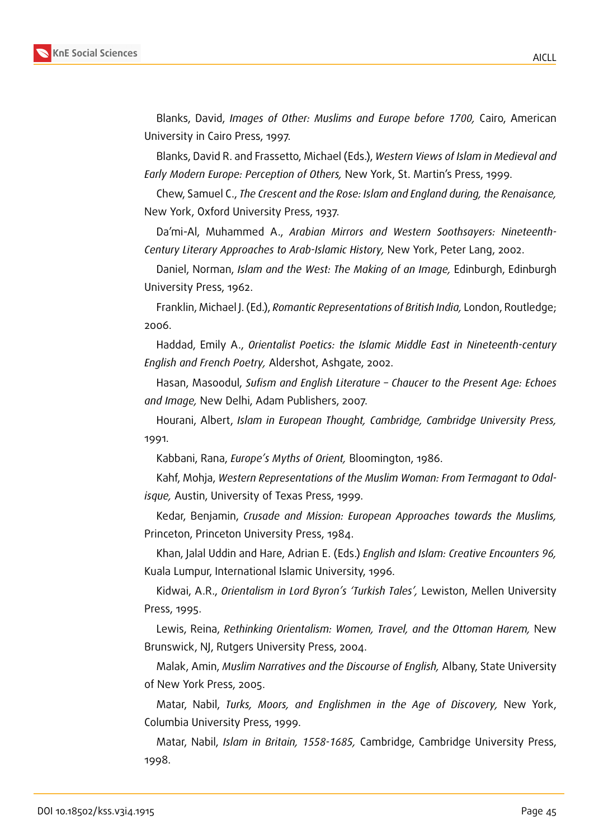

AICLL

Blanks, David, *Images of Other: Muslims and Europe before 1700,* Cairo, American University in Cairo Press, 1997.

Blanks, David R. and Frassetto, Michael (Eds.), *Western Views of Islam in Medieval and Early Modern Europe: Perception of Others,* New York, St. Martin's Press, 1999.

Chew, Samuel C., *The Crescent and the Rose: Islam and England during, the Renaisance,* New York, Oxford University Press, 1937.

Da'mi-Al, Muhammed A., *Arabian Mirrors and Western Soothsayers: Nineteenth-Century Literary Approaches to Arab-Islamic History,* New York, Peter Lang, 2002.

Daniel, Norman, *Islam and the West: The Making of an Image,* Edinburgh, Edinburgh University Press, 1962.

Franklin, Michael J. (Ed.), *Romantic Representations of British India,* London, Routledge; 2006.

Haddad, Emily A., *Orientalist Poetics: the Islamic Middle East in Nineteenth-century English and French Poetry,* Aldershot, Ashgate, 2002.

Hasan, Masoodul, *Sufism and English Literature – Chaucer to the Present Age: Echoes and Image,* New Delhi, Adam Publishers, 2007.

Hourani, Albert, *Islam in European Thought, Cambridge, Cambridge University Press,* 1991.

Kabbani, Rana, *Europe's Myths of Orient,* Bloomington, 1986.

Kahf, Mohja, *Western Representations of the Muslim Woman: From Termagant to Odalisque,* Austin, University of Texas Press, 1999.

Kedar, Benjamin, *Crusade and Mission: European Approaches towards the Muslims,* Princeton, Princeton University Press, 1984.

Khan, Jalal Uddin and Hare, Adrian E. (Eds.) *English and Islam: Creative Encounters 96,* Kuala Lumpur, International Islamic University, 1996.

Kidwai, A.R., *Orientalism in Lord Byron's 'Turkish Tales',* Lewiston, Mellen University Press, 1995.

Lewis, Reina, *Rethinking Orientalism: Women, Travel, and the Ottoman Harem,* New Brunswick, NJ, Rutgers University Press, 2004.

Malak, Amin, *Muslim Narratives and the Discourse of English,* Albany, State University of New York Press, 2005.

Matar, Nabil, *Turks, Moors, and Englishmen in the Age of Discovery,* New York, Columbia University Press, 1999.

Matar, Nabil, *Islam in Britain, 1558-1685,* Cambridge, Cambridge University Press, 1998.